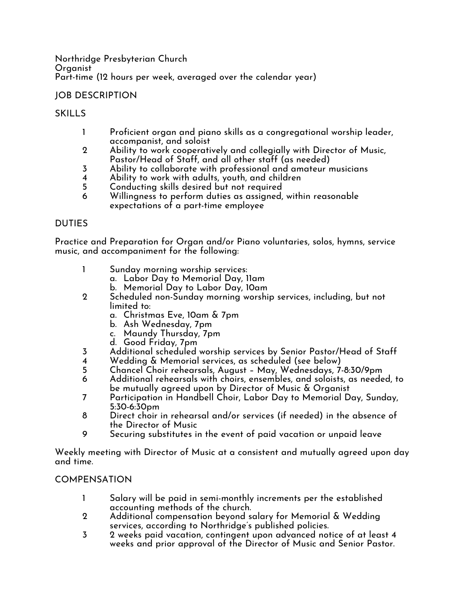Northridge Presbyterian Church Organist Part-time (12 hours per week, averaged over the calendar year)

# JOB DESCRIPTION

## SKILLS

- 1 Proficient organ and piano skills as a congregational worship leader, accompanist, and soloist
- 2 Ability to work cooperatively and collegially with Director of Music, Pastor/Head of Staff, and all other staff (as needed)
- 3 Ability to collaborate with professional and amateur musicians
- 4 Ability to work with adults, youth, and children
- 5 Conducting skills desired but not required
- 6 Willingness to perform duties as assigned, within reasonable expectations of a part-time employee

## DUTIES

Practice and Preparation for Organ and/or Piano voluntaries, solos, hymns, service music, and accompaniment for the following:

- 1 Sunday morning worship services:
	- a. Labor Day to Memorial Day, 11am
	- b. Memorial Day to Labor Day, 10am
- 2 Scheduled non-Sunday morning worship services, including, but not limited to:
	- a. Christmas Eve, 10am & 7pm
	- b. Ash Wednesday, 7pm
	- c. Maundy Thursday, 7pm
	- d. Good Friday, 7pm
- 3 Additional scheduled worship services by Senior Pastor/Head of Staff
- 4 Wedding & Memorial services, as scheduled (see below)<br>5 Chancel Choir rehearsals, Auaust Mav, Wednesdavs, 7-
- 5 Chancel Choir rehearsals, August May, Wednesdays, 7-8:30/9pm
- 6 Additional rehearsals with choirs, ensembles, and soloists, as needed, to be mutually agreed upon by Director of Music & Organist
- 7 Participation in Handbell Choir, Labor Day to Memorial Day, Sunday, 5:30-6:30pm
- 8 Direct choir in rehearsal and/or services (if needed) in the absence of the Director of Music
- 9 Securing substitutes in the event of paid vacation or unpaid leave

Weekly meeting with Director of Music at a consistent and mutually agreed upon day and time.

## COMPENSATION

- 1 Salary will be paid in semi-monthly increments per the established accounting methods of the church.
- 2 Additional compensation beyond salary for Memorial & Wedding services, according to Northridge's published policies.
- 3 2 weeks paid vacation, contingent upon advanced notice of at least 4 weeks and prior approval of the Director of Music and Senior Pastor.